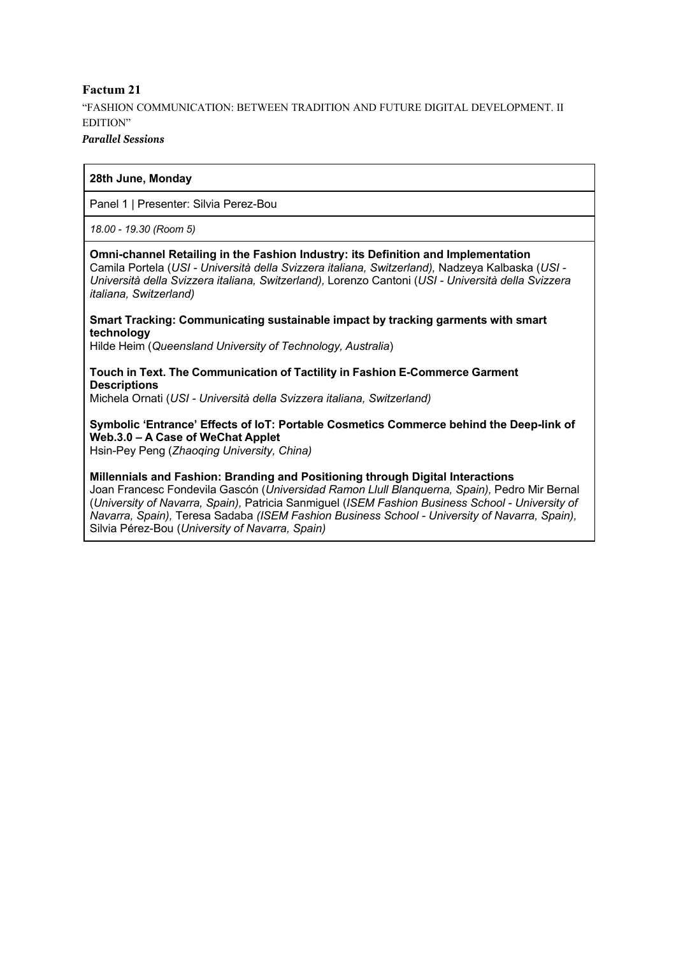# **Factum 21** "FASHION COMMUNICATION: BETWEEN TRADITION AND FUTURE DIGITAL DEVELOPMENT. II EDITION"

### *Parallel Sessions*

# **28th June, Monday**

Panel 1 | Presenter: Silvia Perez-Bou

*18.00 - 19.30 (Room 5)*

### **Omni-channel Retailing in the Fashion Industry: its Definition and Implementation** Camila Portela (*USI - Università della Svizzera italiana, Switzerland),* Nadzeya Kalbaska (*USI - Università della Svizzera italiana, Switzerland),* Lorenzo Cantoni (*USI - Università della Svizzera italiana, Switzerland)*

# **Smart Tracking: Communicating sustainable impact by tracking garments with smart technology**

Hilde Heim (*Queensland University of Technology, Australia*)

# **Touch in Text. The Communication of Tactility in Fashion E-Commerce Garment Descriptions**

Michela Ornati (*USI - Università della Svizzera italiana, Switzerland)*

# **Symbolic 'Entrance' Effects of IoT: Portable Cosmetics Commerce behind the Deep-link of Web.3.0 – A Case of WeChat Applet**

Hsin-Pey Peng (*Zhaoqing University, China)*

### **Millennials and Fashion: Branding and Positioning through Digital Interactions**

Joan Francesc Fondevila Gascón (*Universidad Ramon Llull Blanquerna, Spain),* Pedro Mir Bernal (*University of Navarra, Spain),* Patricia Sanmiguel (*ISEM Fashion Business School - University of Navarra, Spain),* Teresa Sadaba *(ISEM Fashion Business School - University of Navarra, Spain),* Silvia Pérez-Bou (*University of Navarra, Spain)*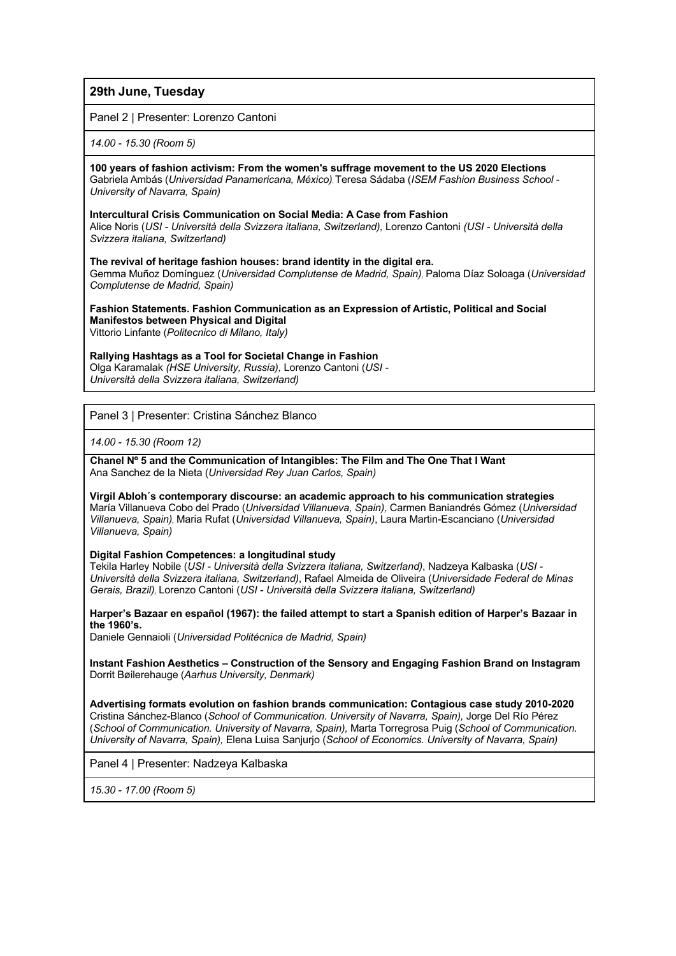# **29th June, Tuesday**

Panel 2 | Presenter: Lorenzo Cantoni

*14.00 - 15.30 (Room 5)*

**100 years of fashion activism: From the women's suffrage movement to the US 2020 Elections** Gabriela Ambás (*Universidad Panamericana, México),*Teresa Sádaba (*ISEM Fashion Business School - University of Navarra, Spain)*

#### **Intercultural Crisis Communication on Social Media: A Case from Fashion**

Alice Noris (*USI - Università della Svizzera italiana, Switzerland),* Lorenzo Cantoni *(USI - Università della Svizzera italiana, Switzerland)*

**The revival of heritage fashion houses: brand identity in the digital era.**

Gemma Muñoz Domínguez (*Universidad Complutense de Madrid, Spain),* Paloma Díaz Soloaga (*Universidad Complutense de Madrid, Spain)*

**Fashion Statements. Fashion Communication as an Expression of Artistic, Political and Social Manifestos between Physical and Digital** Vittorio Linfante (*Politecnico di Milano, Italy)*

### **Rallying Hashtags as a Tool for Societal Change in Fashion**

Olga Karamalak *(HSE University, Russia),* Lorenzo Cantoni (*USI - Università della Svizzera italiana, Switzerland)*

Panel 3 | Presenter: Cristina Sánchez Blanco

*14.00 - 15.30 (Room 12)*

 **Chanel Nº 5 and the Communication of Intangibles: The Film and The One That I Want** Ana Sanchez de la Nieta (*Universidad Rey Juan Carlos, Spain)*

**Virgil Abloh´s contemporary discourse: an academic approach to his communication strategies** María Villanueva Cobo del Prado (*Universidad Villanueva, Spain),* Carmen Baniandrés Gómez (*Universidad Villanueva, Spain),* Maria Rufat (*Universidad Villanueva, Spain)*, Laura Martin-Escanciano (*Universidad Villanueva, Spain)*

**Digital Fashion Competences: a longitudinal study**

Tekila Harley Nobile (*USI - Università della Svizzera italiana, Switzerland)*, Nadzeya Kalbaska (*USI - Università della Svizzera italiana, Switzerland)*, Rafael Almeida de Oliveira (*Universidade Federal de Minas Gerais, Brazil),* Lorenzo Cantoni (*USI - Università della Svizzera italiana, Switzerland)*

**Harper's Bazaar en español (1967): the failed attempt to start a Spanish edition of Harper's Bazaar in the 1960's.**

Daniele Gennaioli (*Universidad Politécnica de Madrid, Spain)*

**Instant Fashion Aesthetics – Construction of the Sensory and Engaging Fashion Brand on Instagram** Dorrit Bøilerehauge (*Aarhus University, Denmark)*

**Advertising formats evolution on fashion brands communication: Contagious case study 2010-2020** Cristina Sánchez-Blanco (*School of Communication. University of Navarra, Spain),* Jorge Del Río Pérez (*School of Communication. University of Navarra, Spain),* Marta Torregrosa Puig (*School of Communication. University of Navarra, Spain),* Elena Luisa Sanjurjo (*School of Economics. University of Navarra, Spain)*

Panel 4 | Presenter: Nadzeya Kalbaska

*15.30 - 17.00 (Room 5)*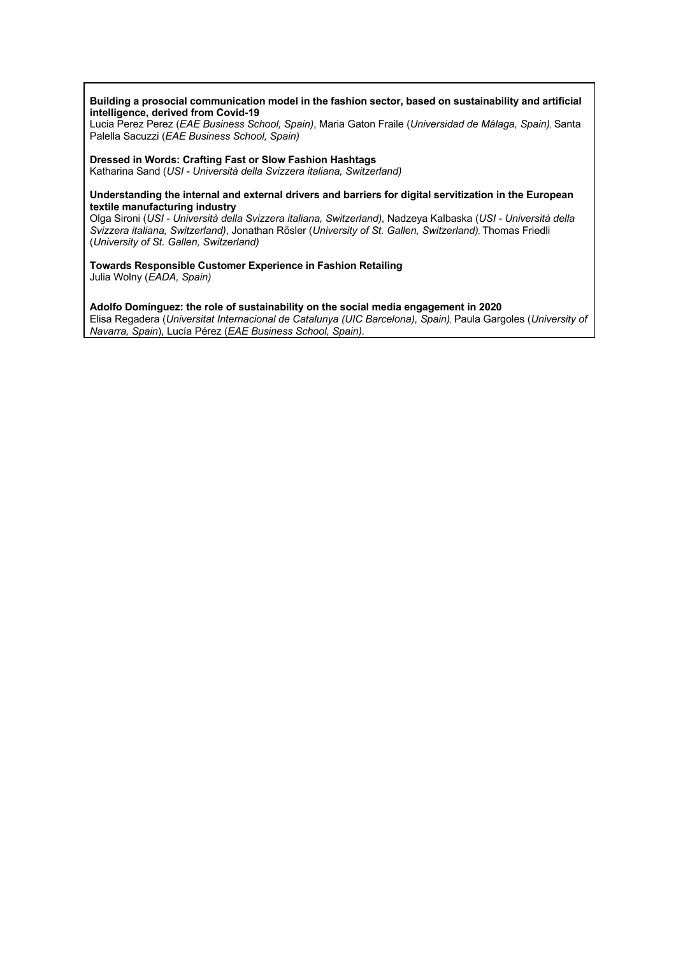#### **Building a prosocial communication model in the fashion sector, based on sustainability and artificial intelligence, derived from Covid-19**

Lucia Perez Perez (*EAE Business School, Spain)*, Maria Gaton Fraile (*Universidad de Málaga, Spain),* Santa Palella Sacuzzi (*EAE Business School, Spain)*

#### **Dressed in Words: Crafting Fast or Slow Fashion Hashtags**

Katharina Sand (*USI - Università della Svizzera italiana, Switzerland)*

#### **Understanding the internal and external drivers and barriers for digital servitization in the European textile manufacturing industry**

Olga Sironi (*USI - Università della Svizzera italiana, Switzerland)*, Nadzeya Kalbaska (*USI - Università della Svizzera italiana, Switzerland)*, Jonathan Rösler (*University of St. Gallen, Switzerland),* Thomas Friedli (*University of St. Gallen, Switzerland)*

**Towards Responsible Customer Experience in Fashion Retailing** Julia Wolny (*EADA, Spain)*

**Adolfo Domínguez: the role of sustainability on the social media engagement in 2020** Elisa Regadera (*Universitat Internacional de Catalunya (UIC Barcelona), Spain),* Paula Gargoles (*University of Navarra, Spain*), Lucía Pérez (*EAE Business School, Spain).*